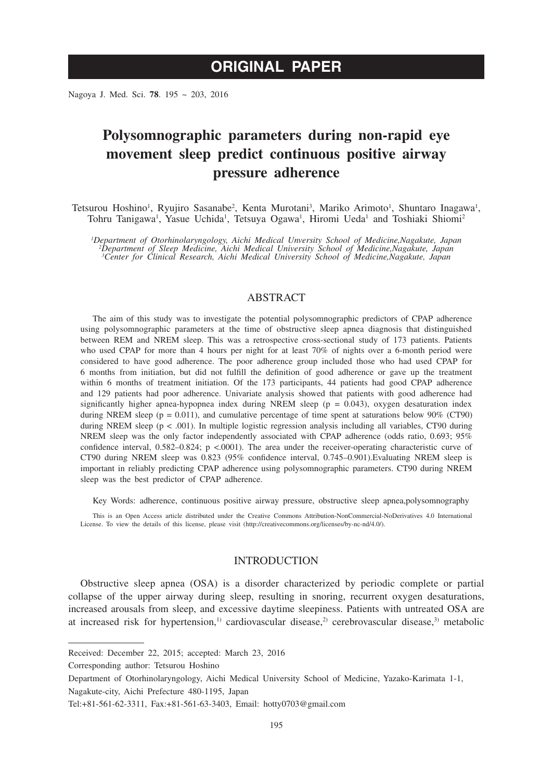Nagoya J. Med. Sci. **78**. 195 ~ 203, 2016

# **Polysomnographic parameters during non-rapid eye movement sleep predict continuous positive airway pressure adherence**

Tetsurou Hoshino<sup>1</sup>, Ryujiro Sasanabe<sup>2</sup>, Kenta Murotani<sup>3</sup>, Mariko Arimoto<sup>1</sup>, Shuntaro Inagawa<sup>1</sup>, Tohru Tanigawa<sup>1</sup>, Yasue Uchida<sup>1</sup>, Tetsuya Ogawa<sup>1</sup>, Hiromi Ueda<sup>1</sup> and Toshiaki Shiomi<sup>2</sup>

*1 Department of Otorhinolaryngology, Aichi Medical Unversity School of Medicine,Nagakute, Japan 2 Department of Sleep Medicine, Aichi Medical University School of Medicine,Nagakute, Japan 3 Center for Clinical Research, Aichi Medical University School of Medicine,Nagakute, Japan*

# ABSTRACT

The aim of this study was to investigate the potential polysomnographic predictors of CPAP adherence using polysomnographic parameters at the time of obstructive sleep apnea diagnosis that distinguished between REM and NREM sleep. This was a retrospective cross-sectional study of 173 patients. Patients who used CPAP for more than 4 hours per night for at least 70% of nights over a 6-month period were considered to have good adherence. The poor adherence group included those who had used CPAP for 6 months from initiation, but did not fulfill the definition of good adherence or gave up the treatment within 6 months of treatment initiation. Of the 173 participants, 44 patients had good CPAP adherence and 129 patients had poor adherence. Univariate analysis showed that patients with good adherence had significantly higher apnea-hypopnea index during NREM sleep ( $p = 0.043$ ), oxygen desaturation index during NREM sleep ( $p = 0.011$ ), and cumulative percentage of time spent at saturations below 90% (CT90) during NREM sleep ( $p < .001$ ). In multiple logistic regression analysis including all variables, CT90 during NREM sleep was the only factor independently associated with CPAP adherence (odds ratio, 0.693; 95% confidence interval, 0.582–0.824; p <.0001). The area under the receiver-operating characteristic curve of CT90 during NREM sleep was 0.823 (95% confidence interval, 0.745–0.901).Evaluating NREM sleep is important in reliably predicting CPAP adherence using polysomnographic parameters. CT90 during NREM sleep was the best predictor of CPAP adherence.

Key Words: adherence, continuous positive airway pressure, obstructive sleep apnea,polysomnography

This is an Open Access article distributed under the Creative Commons Attribution-NonCommercial-NoDerivatives 4.0 International License. To view the details of this license, please visit (http://creativecommons.org/licenses/by-nc-nd/4.0/).

## INTRODUCTION

Obstructive sleep apnea (OSA) is a disorder characterized by periodic complete or partial collapse of the upper airway during sleep, resulting in snoring, recurrent oxygen desaturations, increased arousals from sleep, and excessive daytime sleepiness. Patients with untreated OSA are at increased risk for hypertension,<sup>1)</sup> cardiovascular disease,<sup>2)</sup> cerebrovascular disease,<sup>3)</sup> metabolic

Corresponding author: Tetsurou Hoshino

Received: December 22, 2015; accepted: March 23, 2016

Department of Otorhinolaryngology, Aichi Medical University School of Medicine, Yazako-Karimata 1-1, Nagakute-city, Aichi Prefecture 480-1195, Japan

Tel:+81-561-62-3311, Fax:+81-561-63-3403, Email: hotty0703@gmail.com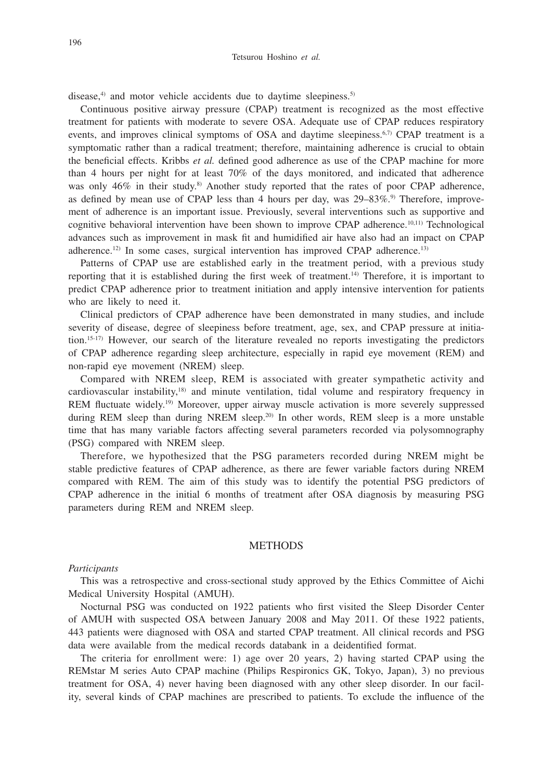disease, $4$  and motor vehicle accidents due to daytime sleepiness. $5$ 

Continuous positive airway pressure (CPAP) treatment is recognized as the most effective treatment for patients with moderate to severe OSA. Adequate use of CPAP reduces respiratory events, and improves clinical symptoms of OSA and daytime sleepiness.<sup>6,7)</sup> CPAP treatment is a symptomatic rather than a radical treatment; therefore, maintaining adherence is crucial to obtain the beneficial effects. Kribbs *et al.* defined good adherence as use of the CPAP machine for more than 4 hours per night for at least 70% of the days monitored, and indicated that adherence was only 46% in their study.<sup>8)</sup> Another study reported that the rates of poor CPAP adherence, as defined by mean use of CPAP less than 4 hours per day, was  $29-83\%$ .<sup>9)</sup> Therefore, improvement of adherence is an important issue. Previously, several interventions such as supportive and cognitive behavioral intervention have been shown to improve CPAP adherence.10,11) Technological advances such as improvement in mask fit and humidified air have also had an impact on CPAP adherence.<sup>12)</sup> In some cases, surgical intervention has improved CPAP adherence.<sup>13)</sup>

Patterns of CPAP use are established early in the treatment period, with a previous study reporting that it is established during the first week of treatment.14) Therefore, it is important to predict CPAP adherence prior to treatment initiation and apply intensive intervention for patients who are likely to need it.

Clinical predictors of CPAP adherence have been demonstrated in many studies, and include severity of disease, degree of sleepiness before treatment, age, sex, and CPAP pressure at initiation.15-17) However, our search of the literature revealed no reports investigating the predictors of CPAP adherence regarding sleep architecture, especially in rapid eye movement (REM) and non-rapid eye movement (NREM) sleep.

Compared with NREM sleep, REM is associated with greater sympathetic activity and cardiovascular instability,18) and minute ventilation, tidal volume and respiratory frequency in REM fluctuate widely.19) Moreover, upper airway muscle activation is more severely suppressed during REM sleep than during NREM sleep.<sup>20)</sup> In other words, REM sleep is a more unstable time that has many variable factors affecting several parameters recorded via polysomnography (PSG) compared with NREM sleep.

Therefore, we hypothesized that the PSG parameters recorded during NREM might be stable predictive features of CPAP adherence, as there are fewer variable factors during NREM compared with REM. The aim of this study was to identify the potential PSG predictors of CPAP adherence in the initial 6 months of treatment after OSA diagnosis by measuring PSG parameters during REM and NREM sleep.

## **METHODS**

#### *Participants*

This was a retrospective and cross-sectional study approved by the Ethics Committee of Aichi Medical University Hospital (AMUH).

Nocturnal PSG was conducted on 1922 patients who first visited the Sleep Disorder Center of AMUH with suspected OSA between January 2008 and May 2011. Of these 1922 patients, 443 patients were diagnosed with OSA and started CPAP treatment. All clinical records and PSG data were available from the medical records databank in a deidentified format.

The criteria for enrollment were: 1) age over 20 years, 2) having started CPAP using the REMstar M series Auto CPAP machine (Philips Respironics GK, Tokyo, Japan), 3) no previous treatment for OSA, 4) never having been diagnosed with any other sleep disorder. In our facility, several kinds of CPAP machines are prescribed to patients. To exclude the influence of the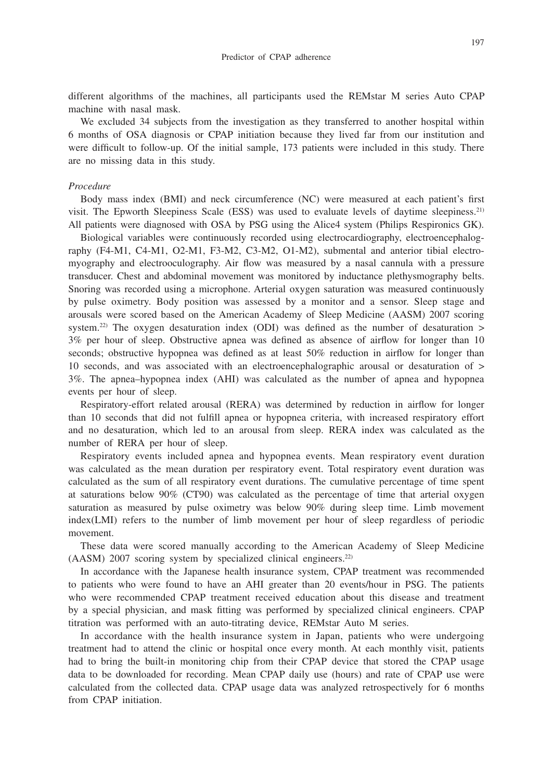197

different algorithms of the machines, all participants used the REMstar M series Auto CPAP machine with nasal mask.

We excluded 34 subjects from the investigation as they transferred to another hospital within 6 months of OSA diagnosis or CPAP initiation because they lived far from our institution and were difficult to follow-up. Of the initial sample, 173 patients were included in this study. There are no missing data in this study.

#### *Procedure*

Body mass index (BMI) and neck circumference (NC) were measured at each patient's first visit. The Epworth Sleepiness Scale (ESS) was used to evaluate levels of daytime sleepiness.<sup>21)</sup> All patients were diagnosed with OSA by PSG using the Alice4 system (Philips Respironics GK).

Biological variables were continuously recorded using electrocardiography, electroencephalography (F4-M1, C4-M1, O2-M1, F3-M2, C3-M2, O1-M2), submental and anterior tibial electromyography and electrooculography. Air flow was measured by a nasal cannula with a pressure transducer. Chest and abdominal movement was monitored by inductance plethysmography belts. Snoring was recorded using a microphone. Arterial oxygen saturation was measured continuously by pulse oximetry. Body position was assessed by a monitor and a sensor. Sleep stage and arousals were scored based on the American Academy of Sleep Medicine (AASM) 2007 scoring system.<sup>22)</sup> The oxygen desaturation index (ODI) was defined as the number of desaturation  $>$ 3% per hour of sleep. Obstructive apnea was defined as absence of airflow for longer than 10 seconds; obstructive hypopnea was defined as at least 50% reduction in airflow for longer than 10 seconds, and was associated with an electroencephalographic arousal or desaturation of > 3%. The apnea–hypopnea index (AHI) was calculated as the number of apnea and hypopnea events per hour of sleep.

Respiratory-effort related arousal (RERA) was determined by reduction in airflow for longer than 10 seconds that did not fulfill apnea or hypopnea criteria, with increased respiratory effort and no desaturation, which led to an arousal from sleep. RERA index was calculated as the number of RERA per hour of sleep.

Respiratory events included apnea and hypopnea events. Mean respiratory event duration was calculated as the mean duration per respiratory event. Total respiratory event duration was calculated as the sum of all respiratory event durations. The cumulative percentage of time spent at saturations below 90% (CT90) was calculated as the percentage of time that arterial oxygen saturation as measured by pulse oximetry was below 90% during sleep time. Limb movement index(LMI) refers to the number of limb movement per hour of sleep regardless of periodic movement.

These data were scored manually according to the American Academy of Sleep Medicine (AASM) 2007 scoring system by specialized clinical engineers.22)

In accordance with the Japanese health insurance system, CPAP treatment was recommended to patients who were found to have an AHI greater than 20 events/hour in PSG. The patients who were recommended CPAP treatment received education about this disease and treatment by a special physician, and mask fitting was performed by specialized clinical engineers. CPAP titration was performed with an auto-titrating device, REMstar Auto M series.

In accordance with the health insurance system in Japan, patients who were undergoing treatment had to attend the clinic or hospital once every month. At each monthly visit, patients had to bring the built-in monitoring chip from their CPAP device that stored the CPAP usage data to be downloaded for recording. Mean CPAP daily use (hours) and rate of CPAP use were calculated from the collected data. CPAP usage data was analyzed retrospectively for 6 months from CPAP initiation.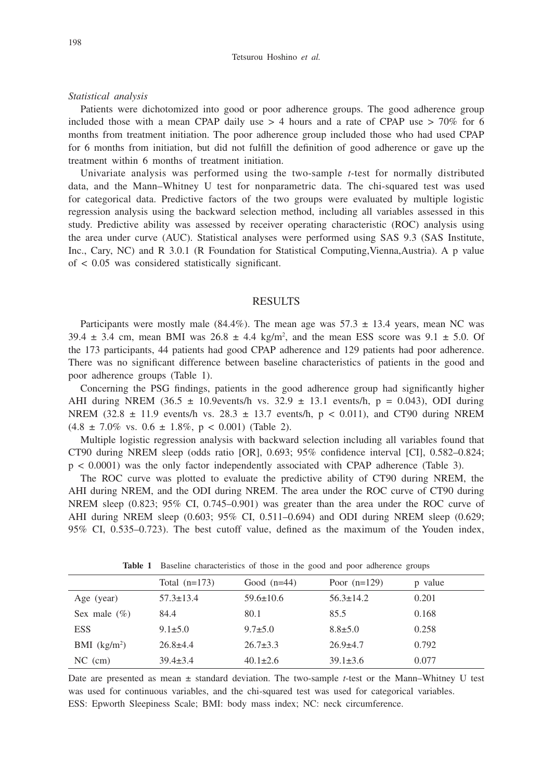*Statistical analysis*

Patients were dichotomized into good or poor adherence groups. The good adherence group included those with a mean CPAP daily use  $> 4$  hours and a rate of CPAP use  $> 70\%$  for 6 months from treatment initiation. The poor adherence group included those who had used CPAP for 6 months from initiation, but did not fulfill the definition of good adherence or gave up the treatment within 6 months of treatment initiation.

Univariate analysis was performed using the two-sample *t*-test for normally distributed data, and the Mann–Whitney U test for nonparametric data. The chi-squared test was used for categorical data. Predictive factors of the two groups were evaluated by multiple logistic regression analysis using the backward selection method, including all variables assessed in this study. Predictive ability was assessed by receiver operating characteristic (ROC) analysis using the area under curve (AUC). Statistical analyses were performed using SAS 9.3 (SAS Institute, Inc., Cary, NC) and R 3.0.1 (R Foundation for Statistical Computing,Vienna,Austria). A p value of < 0.05 was considered statistically significant.

#### RESULTS

Participants were mostly male  $(84.4\%)$ . The mean age was  $57.3 \pm 13.4$  years, mean NC was 39.4  $\pm$  3.4 cm, mean BMI was 26.8  $\pm$  4.4 kg/m<sup>2</sup>, and the mean ESS score was 9.1  $\pm$  5.0. Of the 173 participants, 44 patients had good CPAP adherence and 129 patients had poor adherence. There was no significant difference between baseline characteristics of patients in the good and poor adherence groups (Table 1).

Concerning the PSG findings, patients in the good adherence group had significantly higher AHI during NREM (36.5  $\pm$  10.9events/h vs. 32.9  $\pm$  13.1 events/h, p = 0.043), ODI during NREM (32.8  $\pm$  11.9 events/h vs. 28.3  $\pm$  13.7 events/h, p < 0.011), and CT90 during NREM  $(4.8 \pm 7.0\% \text{ vs. } 0.6 \pm 1.8\%, \text{ p} < 0.001)$  (Table 2).

Multiple logistic regression analysis with backward selection including all variables found that CT90 during NREM sleep (odds ratio [OR], 0.693; 95% confidence interval [CI], 0.582–0.824; p < 0.0001) was the only factor independently associated with CPAP adherence (Table 3).

The ROC curve was plotted to evaluate the predictive ability of CT90 during NREM, the AHI during NREM, and the ODI during NREM. The area under the ROC curve of CT90 during NREM sleep (0.823; 95% CI, 0.745–0.901) was greater than the area under the ROC curve of AHI during NREM sleep (0.603; 95% CI, 0.511–0.694) and ODI during NREM sleep (0.629; 95% CI, 0.535–0.723). The best cutoff value, defined as the maximum of the Youden index,

|                            | Total $(n=173)$ | Good $(n=44)$   | Poor $(n=129)$  | p value |  |  |
|----------------------------|-----------------|-----------------|-----------------|---------|--|--|
| Age (year)                 | $57.3 \pm 13.4$ | $59.6 \pm 10.6$ | $56.3 \pm 14.2$ | 0.201   |  |  |
| Sex male $(\%)$            | 84.4            | 80.1            | 85.5            | 0.168   |  |  |
| ESS                        | $9.1 \pm 5.0$   | $9.7 \pm 5.0$   | $8.8 \pm 5.0$   | 0.258   |  |  |
| $BMI$ (kg/m <sup>2</sup> ) | $26.8 \pm 4.4$  | $26.7 \pm 3.3$  | $26.9 \pm 4.7$  | 0.792   |  |  |
| $NC$ (cm)                  | $39.4 \pm 3.4$  | $40.1 \pm 2.6$  | $39.1 \pm 3.6$  | 0.077   |  |  |

**Table 1** Baseline characteristics of those in the good and poor adherence groups

Date are presented as mean ± standard deviation. The two-sample *t*-test or the Mann–Whitney U test was used for continuous variables, and the chi-squared test was used for categorical variables. ESS: Epworth Sleepiness Scale; BMI: body mass index; NC: neck circumference.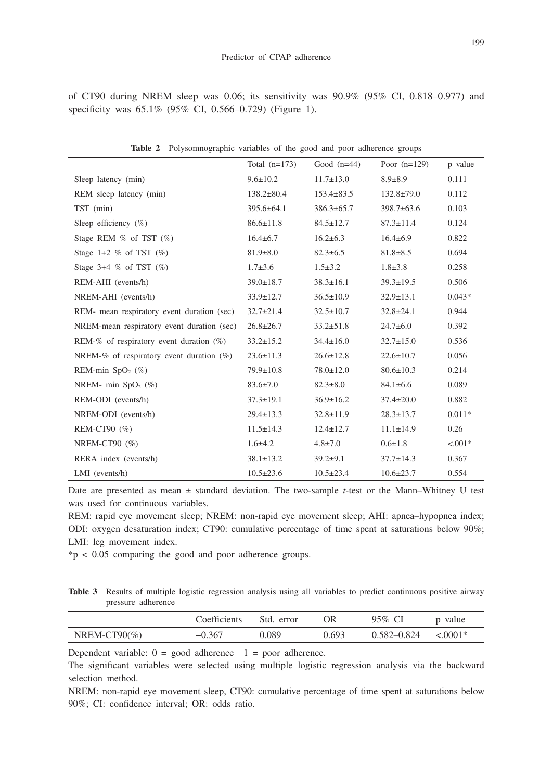199

of CT90 during NREM sleep was 0.06; its sensitivity was 90.9% (95% CI, 0.818–0.977) and specificity was 65.1% (95% CI, 0.566–0.729) (Figure 1).

|                                             | Total $(n=173)$  | Good $(n=44)$    | Poor $(n=129)$   | p value   |
|---------------------------------------------|------------------|------------------|------------------|-----------|
| Sleep latency (min)                         | $9.6 \pm 10.2$   | $11.7 \pm 13.0$  | $8.9 \pm 8.9$    | 0.111     |
| REM sleep latency (min)                     | $138.2 \pm 80.4$ | $153.4 \pm 83.5$ | $132.8 \pm 79.0$ | 0.112     |
| TST (min)                                   | $395.6 \pm 64.1$ | $386.3 \pm 65.7$ | $398.7 \pm 63.6$ | 0.103     |
| Sleep efficiency $(\%)$                     | $86.6 \pm 11.8$  | $84.5 \pm 12.7$  | $87.3 \pm 11.4$  | 0.124     |
| Stage REM $%$ of TST $(%$                   | $16.4 \pm 6.7$   | $16.2 \pm 6.3$   | $16.4 \pm 6.9$   | 0.822     |
| Stage 1+2 $%$ of TST $(%$                   | $81.9 \pm 8.0$   | $82.3 \pm 6.5$   | $81.8 \pm 8.5$   | 0.694     |
| Stage 3+4 $%$ of TST $(\%)$                 | $1.7 \pm 3.6$    | $1.5 \pm 3.2$    | $1.8 \pm 3.8$    | 0.258     |
| REM-AHI (events/h)                          | $39.0 \pm 18.7$  | $38.3 \pm 16.1$  | $39.3 \pm 19.5$  | 0.506     |
| NREM-AHI (events/h)                         | $33.9 \pm 12.7$  | $36.5 \pm 10.9$  | $32.9 \pm 13.1$  | $0.043*$  |
| REM- mean respiratory event duration (sec)  | $32.7 \pm 21.4$  | $32.5 \pm 10.7$  | $32.8 \pm 24.1$  | 0.944     |
| NREM-mean respiratory event duration (sec)  | $26.8 \pm 26.7$  | $33.2 \pm 51.8$  | $24.7 \pm 6.0$   | 0.392     |
| REM-% of respiratory event duration $(\%)$  | $33.2 \pm 15.2$  | $34.4 \pm 16.0$  | $32.7 \pm 15.0$  | 0.536     |
| NREM-% of respiratory event duration $(\%)$ | $23.6 \pm 11.3$  | $26.6 \pm 12.8$  | $22.6 \pm 10.7$  | 0.056     |
| REM-min $SpO2(%)$                           | 79.9±10.8        | $78.0 \pm 12.0$  | $80.6 \pm 10.3$  | 0.214     |
| NREM- min $SpO2(\%)$                        | $83.6 \pm 7.0$   | $82.3 \pm 8.0$   | $84.1 \pm 6.6$   | 0.089     |
| REM-ODI (events/h)                          | $37.3 \pm 19.1$  | $36.9 \pm 16.2$  | $37.4 \pm 20.0$  | 0.882     |
| NREM-ODI (events/h)                         | $29.4 \pm 13.3$  | $32.8 \pm 11.9$  | $28.3 \pm 13.7$  | $0.011*$  |
| REM-CT90 $(\% )$                            | $11.5 \pm 14.3$  | $12.4 \pm 12.7$  | $11.1 \pm 14.9$  | 0.26      |
| NREM-CT90 $(\%)$                            | $1.6 \pm 4.2$    | $4.8 \pm 7.0$    | $0.6 \pm 1.8$    | $< 0.01*$ |
| RERA index (events/h)                       | $38.1 \pm 13.2$  | $39.2 \pm 9.1$   | $37.7 \pm 14.3$  | 0.367     |
| $LMI$ (events/h)                            | $10.5 \pm 23.6$  | $10.5 \pm 23.4$  | $10.6 \pm 23.7$  | 0.554     |

**Table 2** Polysomnographic variables of the good and poor adherence groups

Date are presented as mean ± standard deviation. The two-sample *t*-test or the Mann–Whitney U test was used for continuous variables.

REM: rapid eye movement sleep; NREM: non-rapid eye movement sleep; AHI: apnea–hypopnea index; ODI: oxygen desaturation index; CT90: cumulative percentage of time spent at saturations below 90%; LMI: leg movement index.

\*p < 0.05 comparing the good and poor adherence groups.

**Table 3** Results of multiple logistic regression analysis using all variables to predict continuous positive airway pressure adherence

|                   | Coefficients | Std. error | ΟR    | 95% CI          | p value   |
|-------------------|--------------|------------|-------|-----------------|-----------|
| NREM-CT90 $(\% )$ | $-0.367$     | 0.089      | 0.693 | $0.582 - 0.824$ | $< 0001*$ |

Dependent variable:  $0 = \text{good}$  adherence  $1 = \text{poor}$  adherence.

The significant variables were selected using multiple logistic regression analysis via the backward selection method.

NREM: non-rapid eye movement sleep, CT90: cumulative percentage of time spent at saturations below 90%; CI: confidence interval; OR: odds ratio.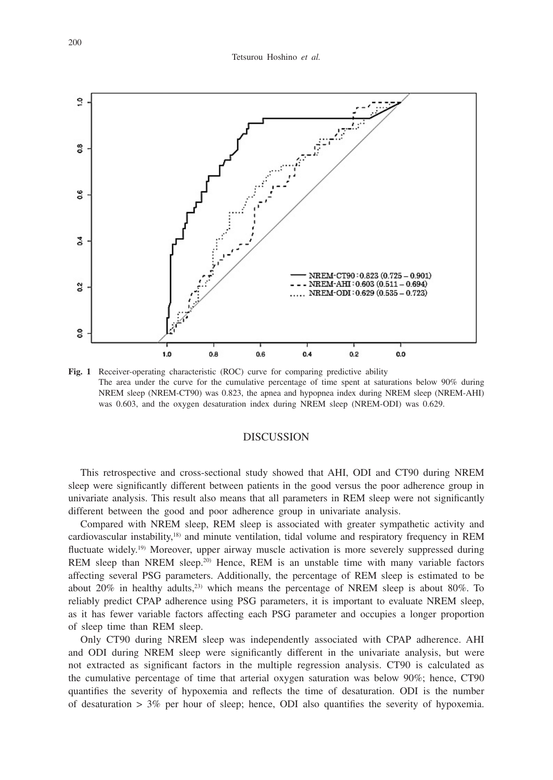

Fig. 1 Receiver-operating characteristic (ROC) curve for comparing predictive ability The area under the curve for the cumulative percentage of time spent at saturations below 90% during NREM sleep (NREM-CT90) was 0.823, the apnea and hypopnea index during NREM sleep (NREM-AHI) was 0.603, and the oxygen desaturation index during NREM sleep (NREM-ODI) was 0.629.

### DISCUSSION

This retrospective and cross-sectional study showed that AHI, ODI and CT90 during NREM sleep were significantly different between patients in the good versus the poor adherence group in univariate analysis. This result also means that all parameters in REM sleep were not significantly different between the good and poor adherence group in univariate analysis.

Compared with NREM sleep, REM sleep is associated with greater sympathetic activity and cardiovascular instability,18) and minute ventilation, tidal volume and respiratory frequency in REM fluctuate widely.<sup>19)</sup> Moreover, upper airway muscle activation is more severely suppressed during REM sleep than NREM sleep.<sup>20)</sup> Hence, REM is an unstable time with many variable factors affecting several PSG parameters. Additionally, the percentage of REM sleep is estimated to be about 20% in healthy adults,<sup>23)</sup> which means the percentage of NREM sleep is about 80%. To reliably predict CPAP adherence using PSG parameters, it is important to evaluate NREM sleep, as it has fewer variable factors affecting each PSG parameter and occupies a longer proportion of sleep time than REM sleep.

Only CT90 during NREM sleep was independently associated with CPAP adherence. AHI and ODI during NREM sleep were significantly different in the univariate analysis, but were not extracted as significant factors in the multiple regression analysis. CT90 is calculated as the cumulative percentage of time that arterial oxygen saturation was below 90%; hence, CT90 quantifies the severity of hypoxemia and reflects the time of desaturation. ODI is the number of desaturation  $> 3\%$  per hour of sleep; hence, ODI also quantifies the severity of hypoxemia.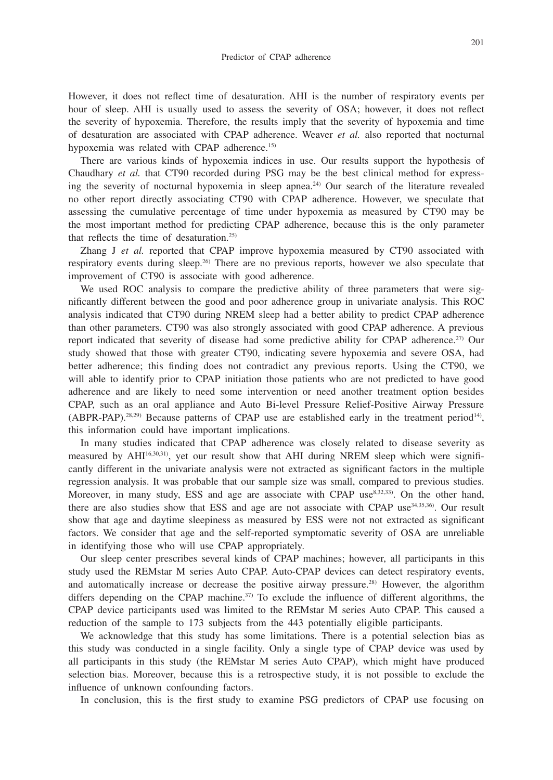However, it does not reflect time of desaturation. AHI is the number of respiratory events per hour of sleep. AHI is usually used to assess the severity of OSA; however, it does not reflect the severity of hypoxemia. Therefore, the results imply that the severity of hypoxemia and time of desaturation are associated with CPAP adherence. Weaver *et al.* also reported that nocturnal hypoxemia was related with CPAP adherence.<sup>15)</sup>

There are various kinds of hypoxemia indices in use. Our results support the hypothesis of Chaudhary *et al.* that CT90 recorded during PSG may be the best clinical method for expressing the severity of nocturnal hypoxemia in sleep apnea.<sup>24)</sup> Our search of the literature revealed no other report directly associating CT90 with CPAP adherence. However, we speculate that assessing the cumulative percentage of time under hypoxemia as measured by CT90 may be the most important method for predicting CPAP adherence, because this is the only parameter that reflects the time of desaturation.25)

Zhang J *et al.* reported that CPAP improve hypoxemia measured by CT90 associated with respiratory events during sleep.26) There are no previous reports, however we also speculate that improvement of CT90 is associate with good adherence.

We used ROC analysis to compare the predictive ability of three parameters that were significantly different between the good and poor adherence group in univariate analysis. This ROC analysis indicated that CT90 during NREM sleep had a better ability to predict CPAP adherence than other parameters. CT90 was also strongly associated with good CPAP adherence. A previous report indicated that severity of disease had some predictive ability for CPAP adherence.<sup>27)</sup> Our study showed that those with greater CT90, indicating severe hypoxemia and severe OSA, had better adherence; this finding does not contradict any previous reports. Using the CT90, we will able to identify prior to CPAP initiation those patients who are not predicted to have good adherence and are likely to need some intervention or need another treatment option besides CPAP, such as an oral appliance and Auto Bi-level Pressure Relief-Positive Airway Pressure (ABPR-PAP).28,29) Because patterns of CPAP use are established early in the treatment period14), this information could have important implications.

In many studies indicated that CPAP adherence was closely related to disease severity as measured by AHI16,30,31), yet our result show that AHI during NREM sleep which were significantly different in the univariate analysis were not extracted as significant factors in the multiple regression analysis. It was probable that our sample size was small, compared to previous studies. Moreover, in many study, ESS and age are associate with CPAP use<sup>8,32,33</sup>). On the other hand, there are also studies show that ESS and age are not associate with CPAP use<sup>34,35,36</sup>. Our result show that age and daytime sleepiness as measured by ESS were not not extracted as significant factors. We consider that age and the self-reported symptomatic severity of OSA are unreliable in identifying those who will use CPAP appropriately.

Our sleep center prescribes several kinds of CPAP machines; however, all participants in this study used the REMstar M series Auto CPAP. Auto-CPAP devices can detect respiratory events, and automatically increase or decrease the positive airway pressure.28) However, the algorithm differs depending on the CPAP machine.<sup>37)</sup> To exclude the influence of different algorithms, the CPAP device participants used was limited to the REMstar M series Auto CPAP. This caused a reduction of the sample to 173 subjects from the 443 potentially eligible participants.

We acknowledge that this study has some limitations. There is a potential selection bias as this study was conducted in a single facility. Only a single type of CPAP device was used by all participants in this study (the REMstar M series Auto CPAP), which might have produced selection bias. Moreover, because this is a retrospective study, it is not possible to exclude the influence of unknown confounding factors.

In conclusion, this is the first study to examine PSG predictors of CPAP use focusing on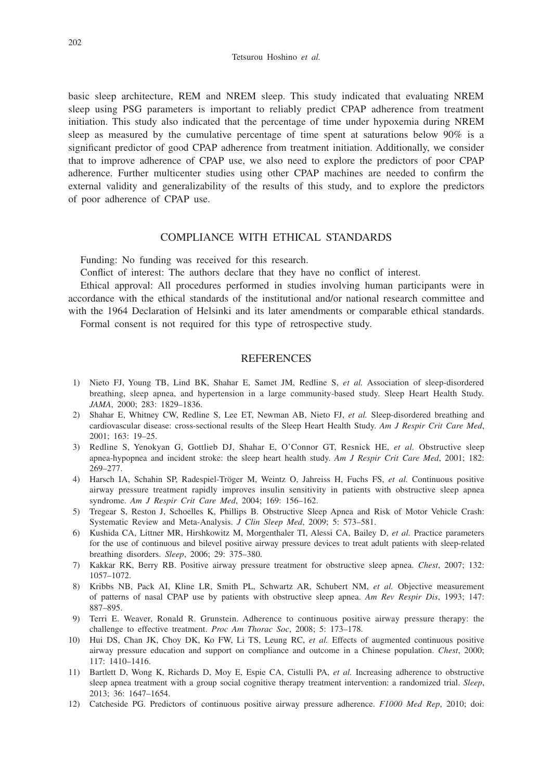basic sleep architecture, REM and NREM sleep. This study indicated that evaluating NREM sleep using PSG parameters is important to reliably predict CPAP adherence from treatment initiation. This study also indicated that the percentage of time under hypoxemia during NREM sleep as measured by the cumulative percentage of time spent at saturations below 90% is a significant predictor of good CPAP adherence from treatment initiation. Additionally, we consider that to improve adherence of CPAP use, we also need to explore the predictors of poor CPAP adherence. Further multicenter studies using other CPAP machines are needed to confirm the external validity and generalizability of the results of this study, and to explore the predictors of poor adherence of CPAP use.

## COMPLIANCE WITH ETHICAL STANDARDS

Funding: No funding was received for this research.

Conflict of interest: The authors declare that they have no conflict of interest.

Ethical approval: All procedures performed in studies involving human participants were in accordance with the ethical standards of the institutional and/or national research committee and with the 1964 Declaration of Helsinki and its later amendments or comparable ethical standards. Formal consent is not required for this type of retrospective study.

#### REFERENCES

- 1) Nieto FJ, Young TB, Lind BK, Shahar E, Samet JM, Redline S, *et al.* Association of sleep-disordered breathing, sleep apnea, and hypertension in a large community-based study. Sleep Heart Health Study. *JAMA*, 2000; 283: 1829–1836.
- 2) Shahar E, Whitney CW, Redline S, Lee ET, Newman AB, Nieto FJ, *et al.* Sleep-disordered breathing and cardiovascular disease: cross-sectional results of the Sleep Heart Health Study. *Am J Respir Crit Care Med*, 2001; 163: 19–25.
- 3) Redline S, Yenokyan G, Gottlieb DJ, Shahar E, O'Connor GT, Resnick HE, *et al.* Obstructive sleep apnea-hypopnea and incident stroke: the sleep heart health study. *Am J Respir Crit Care Med*, 2001; 182: 269–277.
- 4) Harsch IA, Schahin SP, Radespiel-Tröger M, Weintz O, Jahreiss H, Fuchs FS, *et al.* Continuous positive airway pressure treatment rapidly improves insulin sensitivity in patients with obstructive sleep apnea syndrome. *Am J Respir Crit Care Med*, 2004; 169: 156–162.
- 5) Tregear S, Reston J, Schoelles K, Phillips B. Obstructive Sleep Apnea and Risk of Motor Vehicle Crash: Systematic Review and Meta-Analysis. *J Clin Sleep Med*, 2009; 5: 573–581.
- 6) Kushida CA, Littner MR, Hirshkowitz M, Morgenthaler TI, Alessi CA, Bailey D, *et al.* Practice parameters for the use of continuous and bilevel positive airway pressure devices to treat adult patients with sleep-related breathing disorders. *Sleep*, 2006; 29: 375–380.
- 7) Kakkar RK, Berry RB. Positive airway pressure treatment for obstructive sleep apnea. *Chest*, 2007; 132: 1057–1072.
- 8) Kribbs NB, Pack AI, Kline LR, Smith PL, Schwartz AR, Schubert NM, *et al.* Objective measurement of patterns of nasal CPAP use by patients with obstructive sleep apnea. *Am Rev Respir Dis*, 1993; 147: 887–895.
- 9) Terri E. Weaver, Ronald R. Grunstein. Adherence to continuous positive airway pressure therapy: the challenge to effective treatment. *Proc Am Thorac Soc*, 2008; 5: 173–178.
- 10) Hui DS, Chan JK, Choy DK, Ko FW, Li TS, Leung RC, *et al.* Effects of augmented continuous positive airway pressure education and support on compliance and outcome in a Chinese population. *Chest*, 2000; 117: 1410–1416.
- 11) Bartlett D, Wong K, Richards D, Moy E, Espie CA, Cistulli PA, *et al.* Increasing adherence to obstructive sleep apnea treatment with a group social cognitive therapy treatment intervention: a randomized trial. *Sleep*, 2013; 36: 1647–1654.
- 12) Catcheside PG. Predictors of continuous positive airway pressure adherence. *F1000 Med Rep*, 2010; doi: